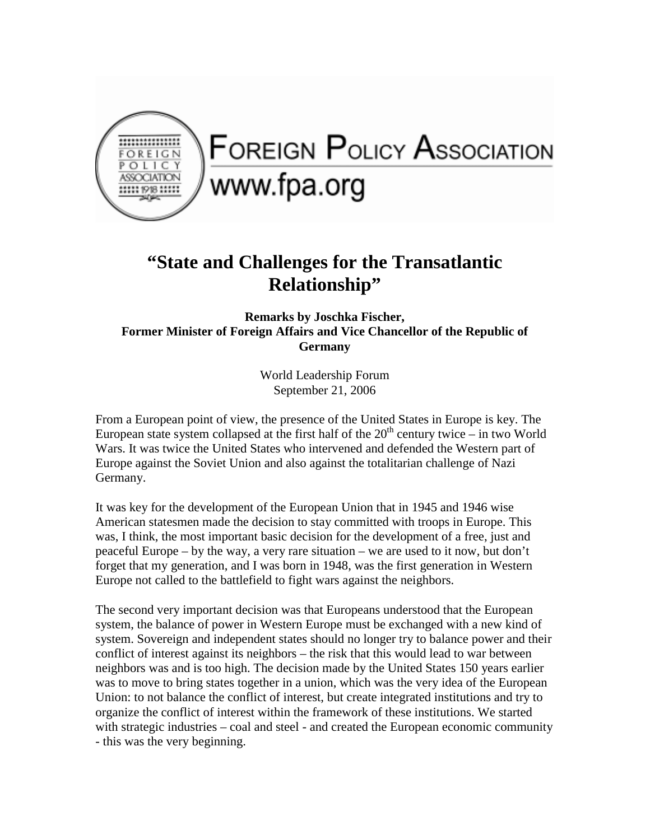

## **FOREIGN POLICY ASSOCIATION** www.fpa.org

## **"State and Challenges for the Transatlantic Relationship"**

**Remarks by Joschka Fischer, Former Minister of Foreign Affairs and Vice Chancellor of the Republic of Germany** 

> World Leadership Forum September 21, 2006

From a European point of view, the presence of the United States in Europe is key. The European state system collapsed at the first half of the  $20<sup>th</sup>$  century twice – in two World Wars. It was twice the United States who intervened and defended the Western part of Europe against the Soviet Union and also against the totalitarian challenge of Nazi Germany.

It was key for the development of the European Union that in 1945 and 1946 wise American statesmen made the decision to stay committed with troops in Europe. This was, I think, the most important basic decision for the development of a free, just and peaceful Europe – by the way, a very rare situation – we are used to it now, but don't forget that my generation, and I was born in 1948, was the first generation in Western Europe not called to the battlefield to fight wars against the neighbors.

The second very important decision was that Europeans understood that the European system, the balance of power in Western Europe must be exchanged with a new kind of system. Sovereign and independent states should no longer try to balance power and their conflict of interest against its neighbors – the risk that this would lead to war between neighbors was and is too high. The decision made by the United States 150 years earlier was to move to bring states together in a union, which was the very idea of the European Union: to not balance the conflict of interest, but create integrated institutions and try to organize the conflict of interest within the framework of these institutions. We started with strategic industries – coal and steel - and created the European economic community - this was the very beginning.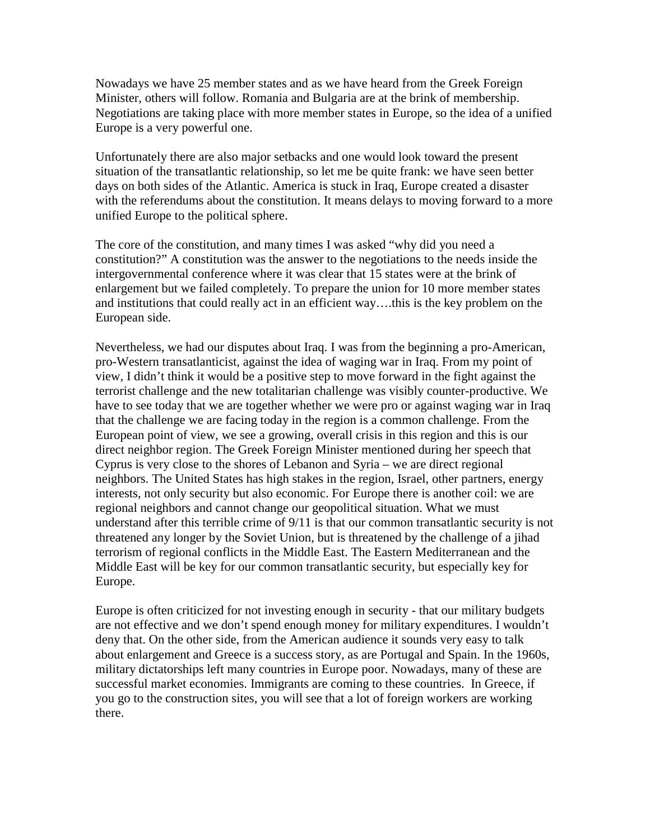Nowadays we have 25 member states and as we have heard from the Greek Foreign Minister, others will follow. Romania and Bulgaria are at the brink of membership. Negotiations are taking place with more member states in Europe, so the idea of a unified Europe is a very powerful one.

Unfortunately there are also major setbacks and one would look toward the present situation of the transatlantic relationship, so let me be quite frank: we have seen better days on both sides of the Atlantic. America is stuck in Iraq, Europe created a disaster with the referendums about the constitution. It means delays to moving forward to a more unified Europe to the political sphere.

The core of the constitution, and many times I was asked "why did you need a constitution?" A constitution was the answer to the negotiations to the needs inside the intergovernmental conference where it was clear that 15 states were at the brink of enlargement but we failed completely. To prepare the union for 10 more member states and institutions that could really act in an efficient way….this is the key problem on the European side.

Nevertheless, we had our disputes about Iraq. I was from the beginning a pro-American, pro-Western transatlanticist, against the idea of waging war in Iraq. From my point of view, I didn't think it would be a positive step to move forward in the fight against the terrorist challenge and the new totalitarian challenge was visibly counter-productive. We have to see today that we are together whether we were pro or against waging war in Iraq that the challenge we are facing today in the region is a common challenge. From the European point of view, we see a growing, overall crisis in this region and this is our direct neighbor region. The Greek Foreign Minister mentioned during her speech that Cyprus is very close to the shores of Lebanon and Syria – we are direct regional neighbors. The United States has high stakes in the region, Israel, other partners, energy interests, not only security but also economic. For Europe there is another coil: we are regional neighbors and cannot change our geopolitical situation. What we must understand after this terrible crime of 9/11 is that our common transatlantic security is not threatened any longer by the Soviet Union, but is threatened by the challenge of a jihad terrorism of regional conflicts in the Middle East. The Eastern Mediterranean and the Middle East will be key for our common transatlantic security, but especially key for Europe.

Europe is often criticized for not investing enough in security - that our military budgets are not effective and we don't spend enough money for military expenditures. I wouldn't deny that. On the other side, from the American audience it sounds very easy to talk about enlargement and Greece is a success story, as are Portugal and Spain. In the 1960s, military dictatorships left many countries in Europe poor. Nowadays, many of these are successful market economies. Immigrants are coming to these countries. In Greece, if you go to the construction sites, you will see that a lot of foreign workers are working there.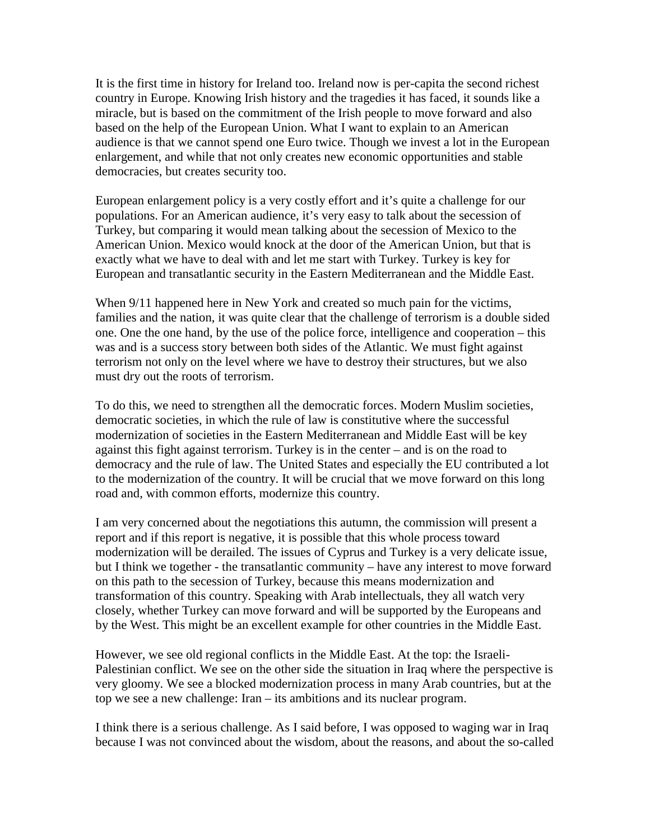It is the first time in history for Ireland too. Ireland now is per-capita the second richest country in Europe. Knowing Irish history and the tragedies it has faced, it sounds like a miracle, but is based on the commitment of the Irish people to move forward and also based on the help of the European Union. What I want to explain to an American audience is that we cannot spend one Euro twice. Though we invest a lot in the European enlargement, and while that not only creates new economic opportunities and stable democracies, but creates security too.

European enlargement policy is a very costly effort and it's quite a challenge for our populations. For an American audience, it's very easy to talk about the secession of Turkey, but comparing it would mean talking about the secession of Mexico to the American Union. Mexico would knock at the door of the American Union, but that is exactly what we have to deal with and let me start with Turkey. Turkey is key for European and transatlantic security in the Eastern Mediterranean and the Middle East.

When 9/11 happened here in New York and created so much pain for the victims, families and the nation, it was quite clear that the challenge of terrorism is a double sided one. One the one hand, by the use of the police force, intelligence and cooperation – this was and is a success story between both sides of the Atlantic. We must fight against terrorism not only on the level where we have to destroy their structures, but we also must dry out the roots of terrorism.

To do this, we need to strengthen all the democratic forces. Modern Muslim societies, democratic societies, in which the rule of law is constitutive where the successful modernization of societies in the Eastern Mediterranean and Middle East will be key against this fight against terrorism. Turkey is in the center – and is on the road to democracy and the rule of law. The United States and especially the EU contributed a lot to the modernization of the country. It will be crucial that we move forward on this long road and, with common efforts, modernize this country.

I am very concerned about the negotiations this autumn, the commission will present a report and if this report is negative, it is possible that this whole process toward modernization will be derailed. The issues of Cyprus and Turkey is a very delicate issue, but I think we together - the transatlantic community – have any interest to move forward on this path to the secession of Turkey, because this means modernization and transformation of this country. Speaking with Arab intellectuals, they all watch very closely, whether Turkey can move forward and will be supported by the Europeans and by the West. This might be an excellent example for other countries in the Middle East.

However, we see old regional conflicts in the Middle East. At the top: the Israeli-Palestinian conflict. We see on the other side the situation in Iraq where the perspective is very gloomy. We see a blocked modernization process in many Arab countries, but at the top we see a new challenge: Iran – its ambitions and its nuclear program.

I think there is a serious challenge. As I said before, I was opposed to waging war in Iraq because I was not convinced about the wisdom, about the reasons, and about the so-called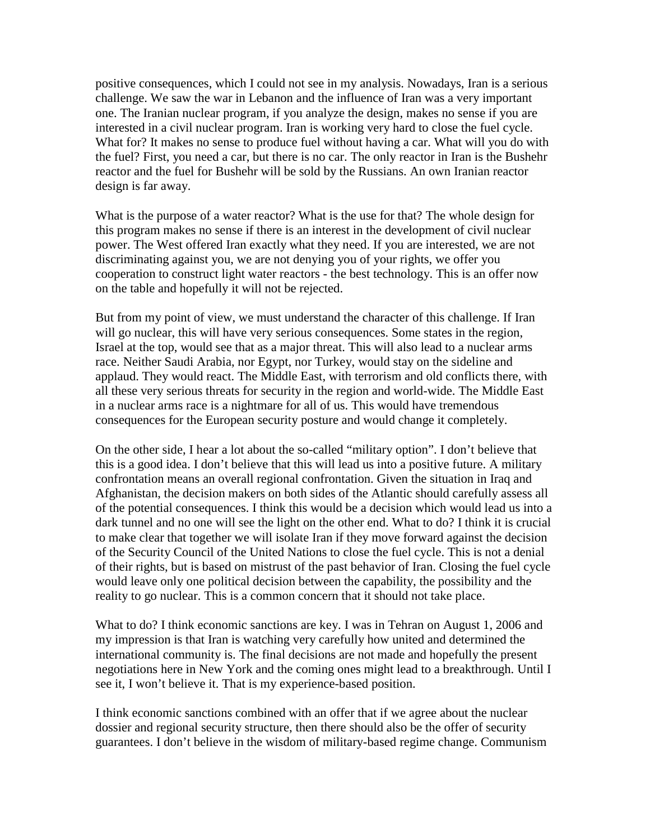positive consequences, which I could not see in my analysis. Nowadays, Iran is a serious challenge. We saw the war in Lebanon and the influence of Iran was a very important one. The Iranian nuclear program, if you analyze the design, makes no sense if you are interested in a civil nuclear program. Iran is working very hard to close the fuel cycle. What for? It makes no sense to produce fuel without having a car. What will you do with the fuel? First, you need a car, but there is no car. The only reactor in Iran is the Bushehr reactor and the fuel for Bushehr will be sold by the Russians. An own Iranian reactor design is far away.

What is the purpose of a water reactor? What is the use for that? The whole design for this program makes no sense if there is an interest in the development of civil nuclear power. The West offered Iran exactly what they need. If you are interested, we are not discriminating against you, we are not denying you of your rights, we offer you cooperation to construct light water reactors - the best technology. This is an offer now on the table and hopefully it will not be rejected.

But from my point of view, we must understand the character of this challenge. If Iran will go nuclear, this will have very serious consequences. Some states in the region, Israel at the top, would see that as a major threat. This will also lead to a nuclear arms race. Neither Saudi Arabia, nor Egypt, nor Turkey, would stay on the sideline and applaud. They would react. The Middle East, with terrorism and old conflicts there, with all these very serious threats for security in the region and world-wide. The Middle East in a nuclear arms race is a nightmare for all of us. This would have tremendous consequences for the European security posture and would change it completely.

On the other side, I hear a lot about the so-called "military option". I don't believe that this is a good idea. I don't believe that this will lead us into a positive future. A military confrontation means an overall regional confrontation. Given the situation in Iraq and Afghanistan, the decision makers on both sides of the Atlantic should carefully assess all of the potential consequences. I think this would be a decision which would lead us into a dark tunnel and no one will see the light on the other end. What to do? I think it is crucial to make clear that together we will isolate Iran if they move forward against the decision of the Security Council of the United Nations to close the fuel cycle. This is not a denial of their rights, but is based on mistrust of the past behavior of Iran. Closing the fuel cycle would leave only one political decision between the capability, the possibility and the reality to go nuclear. This is a common concern that it should not take place.

What to do? I think economic sanctions are key. I was in Tehran on August 1, 2006 and my impression is that Iran is watching very carefully how united and determined the international community is. The final decisions are not made and hopefully the present negotiations here in New York and the coming ones might lead to a breakthrough. Until I see it, I won't believe it. That is my experience-based position.

I think economic sanctions combined with an offer that if we agree about the nuclear dossier and regional security structure, then there should also be the offer of security guarantees. I don't believe in the wisdom of military-based regime change. Communism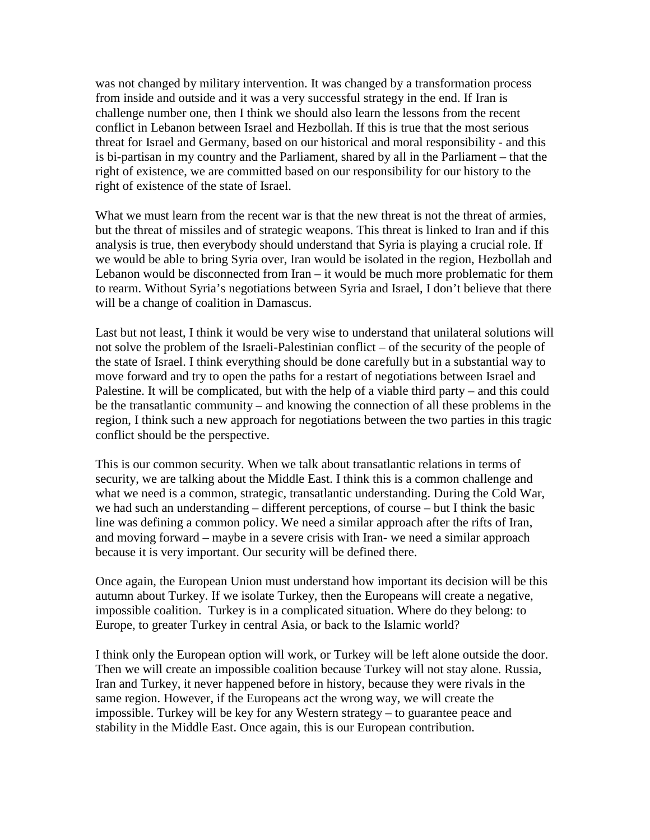was not changed by military intervention. It was changed by a transformation process from inside and outside and it was a very successful strategy in the end. If Iran is challenge number one, then I think we should also learn the lessons from the recent conflict in Lebanon between Israel and Hezbollah. If this is true that the most serious threat for Israel and Germany, based on our historical and moral responsibility - and this is bi-partisan in my country and the Parliament, shared by all in the Parliament – that the right of existence, we are committed based on our responsibility for our history to the right of existence of the state of Israel.

What we must learn from the recent war is that the new threat is not the threat of armies, but the threat of missiles and of strategic weapons. This threat is linked to Iran and if this analysis is true, then everybody should understand that Syria is playing a crucial role. If we would be able to bring Syria over, Iran would be isolated in the region, Hezbollah and Lebanon would be disconnected from Iran – it would be much more problematic for them to rearm. Without Syria's negotiations between Syria and Israel, I don't believe that there will be a change of coalition in Damascus.

Last but not least, I think it would be very wise to understand that unilateral solutions will not solve the problem of the Israeli-Palestinian conflict – of the security of the people of the state of Israel. I think everything should be done carefully but in a substantial way to move forward and try to open the paths for a restart of negotiations between Israel and Palestine. It will be complicated, but with the help of a viable third party – and this could be the transatlantic community – and knowing the connection of all these problems in the region, I think such a new approach for negotiations between the two parties in this tragic conflict should be the perspective.

This is our common security. When we talk about transatlantic relations in terms of security, we are talking about the Middle East. I think this is a common challenge and what we need is a common, strategic, transatlantic understanding. During the Cold War, we had such an understanding – different perceptions, of course – but I think the basic line was defining a common policy. We need a similar approach after the rifts of Iran, and moving forward – maybe in a severe crisis with Iran- we need a similar approach because it is very important. Our security will be defined there.

Once again, the European Union must understand how important its decision will be this autumn about Turkey. If we isolate Turkey, then the Europeans will create a negative, impossible coalition. Turkey is in a complicated situation. Where do they belong: to Europe, to greater Turkey in central Asia, or back to the Islamic world?

I think only the European option will work, or Turkey will be left alone outside the door. Then we will create an impossible coalition because Turkey will not stay alone. Russia, Iran and Turkey, it never happened before in history, because they were rivals in the same region. However, if the Europeans act the wrong way, we will create the impossible. Turkey will be key for any Western strategy – to guarantee peace and stability in the Middle East. Once again, this is our European contribution.